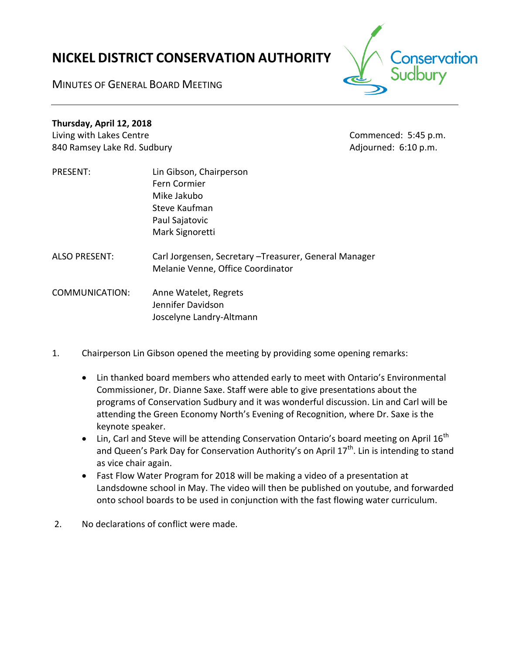# **NICKEL DISTRICT CONSERVATION AUTHORITY**



MINUTES OF GENERAL BOARD MEETING

## **Thursday, April 12, 2018**

Living with Lakes Centre Commenced: 5:45 p.m. 840 Ramsey Lake Rd. Sudbury and the state of the Adjourned: 6:10 p.m.

- PRESENT: Lin Gibson, Chairperson Fern Cormier Mike Jakubo Steve Kaufman Paul Sajatovic Mark Signoretti
- ALSO PRESENT: Carl Jorgensen, Secretary –Treasurer, General Manager Melanie Venne, Office Coordinator

COMMUNICATION: Anne Watelet, Regrets Jennifer Davidson Joscelyne Landry-Altmann

- 1. Chairperson Lin Gibson opened the meeting by providing some opening remarks:
	- Lin thanked board members who attended early to meet with Ontario's Environmental Commissioner, Dr. Dianne Saxe. Staff were able to give presentations about the programs of Conservation Sudbury and it was wonderful discussion. Lin and Carl will be attending the Green Economy North's Evening of Recognition, where Dr. Saxe is the keynote speaker.
	- $\bullet$  Lin, Carl and Steve will be attending Conservation Ontario's board meeting on April 16<sup>th</sup> and Queen's Park Day for Conservation Authority's on April  $17<sup>th</sup>$ . Lin is intending to stand as vice chair again.
	- Fast Flow Water Program for 2018 will be making a video of a presentation at Landsdowne school in May. The video will then be published on youtube, and forwarded onto school boards to be used in conjunction with the fast flowing water curriculum.
- 2. No declarations of conflict were made.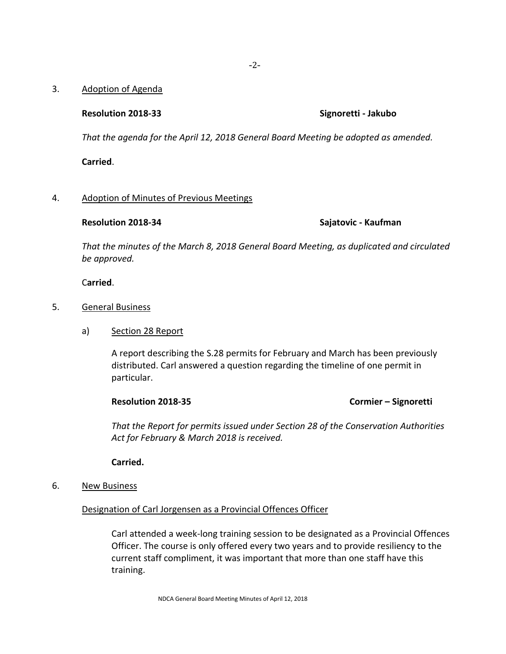### 3. Adoption of Agenda

### **Resolution 2018-33 Signoretti - Jakubo**

*That the agenda for the April 12, 2018 General Board Meeting be adopted as amended.*

**Carried**.

### 4. Adoption of Minutes of Previous Meetings

**Resolution 2018-34 Sajatovic - Kaufman**

*That the minutes of the March 8, 2018 General Board Meeting, as duplicated and circulated be approved.*

C**arried**.

### 5. General Business

a) Section 28 Report

A report describing the S.28 permits for February and March has been previously distributed. Carl answered a question regarding the timeline of one permit in particular.

**Resolution 2018-35 Cormier – Signoretti**

*That the Report for permits issued under Section 28 of the Conservation Authorities Act for February & March 2018 is received.*

**Carried.**

6. New Business

Designation of Carl Jorgensen as a Provincial Offences Officer

Carl attended a week-long training session to be designated as a Provincial Offences Officer. The course is only offered every two years and to provide resiliency to the current staff compliment, it was important that more than one staff have this training.